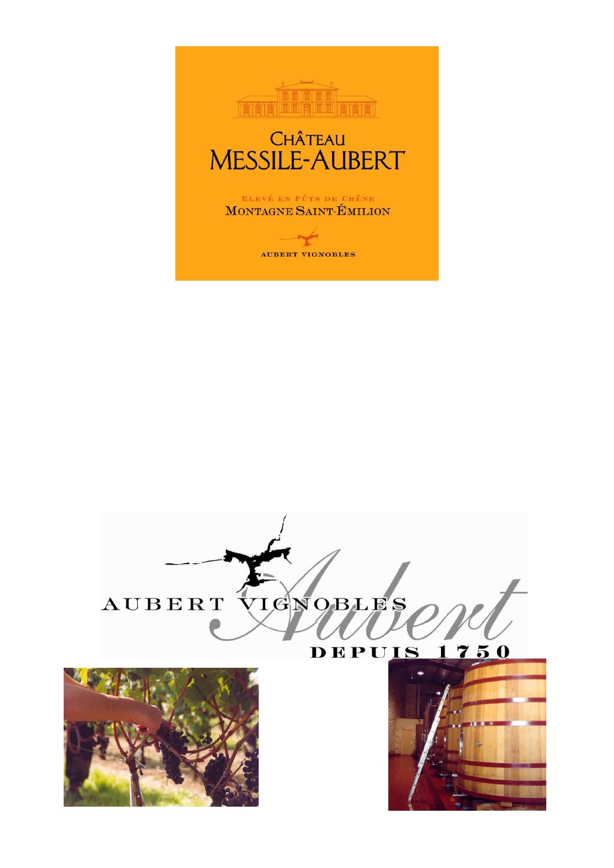





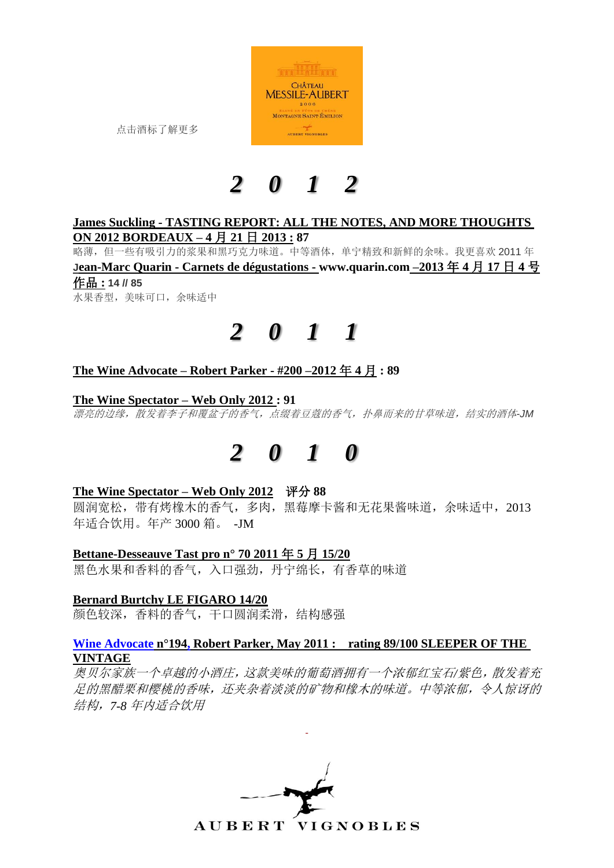

点击酒标了解更多

## *2 0 1 2*

### **James Suckling - TASTING REPORT: ALL THE NOTES, AND MORE THOUGHTS ON 2012 BORDEAUX – 4** 月 **21** 日 **2013 : 87**

略薄,但一些有吸引力的浆果和黑巧克力味道。中等酒体,单宁精致和新鲜的余味。我更喜欢 2011 年 **Jean-Marc Quarin - Carnets de dégustations - [www.quarin.com](http://www.quarin.com/) –2013** 年 **4** 月 **17** 日 **4** 号 作品 **: 14 // 85**  水果香型,美味可口,余味适中

## *2 0 1 1*

## **The Wine Advocate – Robert Parker - #200 –2012** 年 **4** 月 **: 89**

#### **The Wine Spectator – Web Only 2012 : 91**

漂亮的边缘,散发着李子和覆盆子的香气,点缀着豆蔻的香气,扑鼻而来的甘草味道,结实的酒体*-JM*

## *2 0 1 0*

### **The Wine Spectator – Web Only 2012** 评分 **88**

圆润宽松,带有烤橡木的香气,多肉,黑莓摩卡酱和无花果酱味道,余味适中,2013 年适合饮用。年产 3000 箱。 -JM

### **Bettane-Desseauve Tast pro n° 70 2011** 年 **5** 月 **15/20**

黑色水果和香料的香气,入口强劲,丹宁绵长,有香草的味道

#### **Bernard Burtchy LE FIGARO 14/20**

颜色较深,香料的香气,干口圆润柔滑,结构感强

#### **Wine Advocate n°194, Robert Parker, May 2011 : rating 89/100 SLEEPER OF THE VINTAGE**

奥贝尔家族一个卓越的小酒庄,这款美味的葡萄酒拥有一个浓郁红宝石*/*紫色,散发着充 足的黑醋栗和樱桃的香味,还夹杂着淡淡的矿物和橡木的味道。中等浓郁,令人惊讶的 结构,*7-8* 年内适合饮用

-

**AUBERT VIGNOBLES**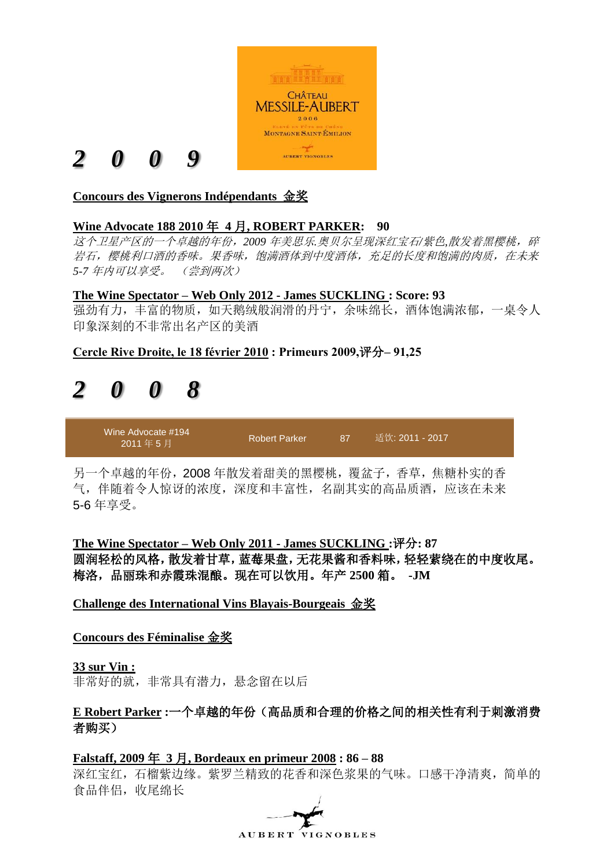

## **Concours des Vignerons Indépendants** 金奖

## **Wine Advocate 188 2010** 年 **4** 月**, ROBERT PARKER: 90**

这个卫星产区的一个卓越的年份,*2009* 年美思乐*.*奥贝尔呈现深红宝石*/*紫色*,*散发着黑樱桃,碎 岩石,樱桃利口酒的香味。果香味,饱满酒体到中度酒体,充足的长度和饱满的肉质,在未来 *5-7* 年内可以享受。 (尝到两次)

#### **The Wine Spectator – Web Only 2012 - James SUCKLING : Score: 93**

强劲有力,丰富的物质,如天鹅绒般润滑的丹宁,余味绵长,酒体饱满浓郁,一桌令人 印象深刻的不非常出名产区的美酒

**Cercle Rive Droite, le 18 février 2010 : Primeurs 2009,**评分**– 91,25**

## *2 0 0 8*

Wine Advocate #194 2011 年 5 月 Robert Parker [87](http://www.erobertparker.com/members/info/legend.asp) 适饮: 2011 - 2017

另一个卓越的年份,2008 年散发着甜美的黑樱桃,覆盆子,香草,焦糖朴实的香 气,伴随着令人惊讶的浓度,深度和丰富性,名副其实的高品质酒,应该在未来 5-6 年享受。

**The Wine Spectator – Web Only 2011 - James SUCKLING :**评分**: 87** 圆润轻松的风格,散发着甘草,蓝莓果盘,无花果酱和香料味,轻轻萦绕在的中度收尾。 梅洛,品丽珠和赤霞珠混酿。现在可以饮用。年产 **2500** 箱。 **-JM**

**Challenge des International Vins Blayais-Bourgeais** 金奖

### **Concours des Féminalise** 金奖

**33 sur Vin :**

非常好的就,非常具有潜力,悬念留在以后

## **E Robert Parker :**一个卓越的年份(高品质和合理的价格之间的相关性有利于刺激消费 者购买)

**Falstaff, 2009** 年 **3** 月**, Bordeaux en primeur 2008 : 86 – 88**

深红宝红,石榴紫边缘。紫罗兰精致的花香和深色浆果的气味。口感干净清爽,简单的 食品伴侣,收尾绵长

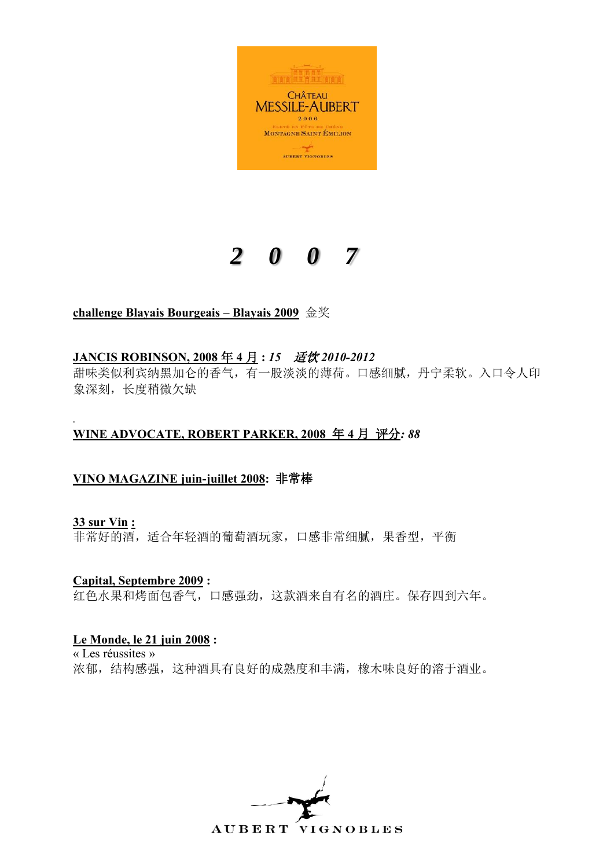

## **challenge Blayais Bourgeais – Blayais 2009** 金奖

## **JANCIS ROBINSON, 2008** 年 **4** 月 **:** *15* 适饮 *2010-2012*

甜味类似利宾纳黑加仑的香气,有一股淡淡的薄荷。口感细腻,丹宁柔软。入口令人印 象深刻,长度稍微欠缺

#### *.* **WINE ADVOCATE, ROBERT PARKER, 2008** 年 **4** 月 评分*: 88*

### **VINO MAGAZINE juin-juillet 2008:** 非常棒

**33 sur Vin :**

非常好的酒,适合年轻酒的葡萄酒玩家,口感非常细腻,果香型,平衡

**Capital, Septembre 2009 :** 红色水果和烤面包香气,口感强劲,这款酒来自有名的酒庄。保存四到六年。

### **Le Monde, le 21 juin 2008 :**

« Les réussites » 浓郁,结构感强,这种酒具有良好的成熟度和丰满,橡木味良好的溶于酒业。

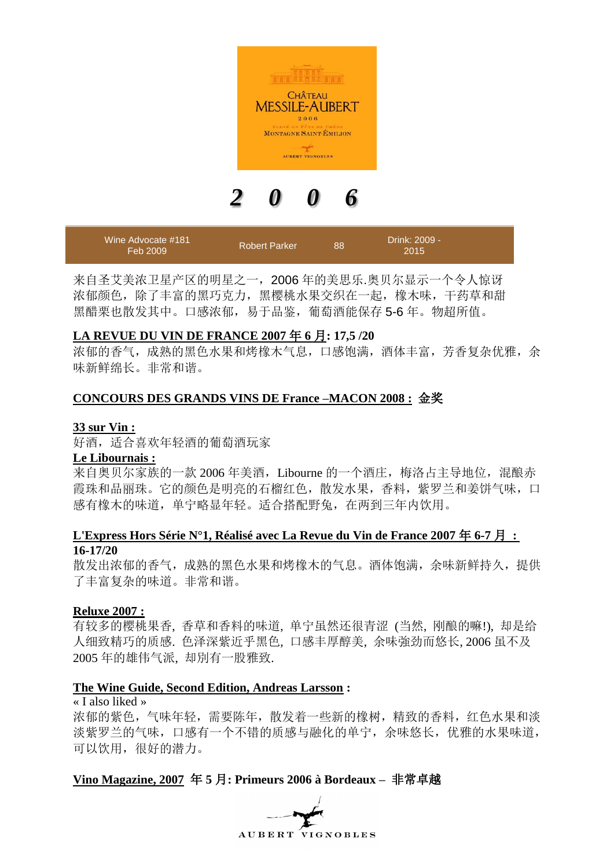

| Wine Advocate #181<br>Feb 2009 | <b>Robert Parker</b> | 88 | Drink: 2009 -<br>2015 |  |
|--------------------------------|----------------------|----|-----------------------|--|
|--------------------------------|----------------------|----|-----------------------|--|

来自圣艾美浓卫星产区的明星之一,2006 年的美思乐.奥贝尔显示一个令人惊讶 浓郁颜色,除了丰富的黑巧克力,黑樱桃水果交织在一起,橡木味,干药草和甜 黑醋栗也散发其中。口感浓郁,易于品鉴,葡萄酒能保存 5-6 年。物超所值。

#### **LA REVUE DU VIN DE FRANCE 2007** 年 **6** 月**: 17,5 /20**

浓郁的香气,成熟的黑色水果和烤橡木气息,口感饱满,酒体丰富,芳香复杂优雅,余 味新鲜绵长。非常和谐。

#### **CONCOURS DES GRANDS VINS DE France –MACON 2008 :** 金奖

#### **33 sur Vin :**

好酒,适合喜欢年轻酒的葡萄酒玩家

#### **Le Libournais :**

来自奥贝尔家族的一款 2006 年美酒, Libourne 的一个酒庄, 梅洛占主导地位, 混酿赤 霞珠和品丽珠。它的颜色是明亮的石榴红色,散发水果,香料,紫罗兰和姜饼气味,口 感有橡木的味道,单宁略显年轻。适合搭配野兔,在两到三年内饮用。

#### **L'Express Hors Série N°1, Réalisé avec La Revue du Vin de France 2007** 年 **6-7** 月 **: 16-17/20**

散发出浓郁的香气,成熟的黑色水果和烤橡木的气息。酒体饱满,余味新鲜持久,提供 了丰富复杂的味道。非常和谐。

#### **Reluxe 2007 :**

有较多的樱桃果香, 香草和香料的味道, 单宁虽然还很青涩 (当然, 刚酿的嘛!), 却是给 人细致精巧的质感. 色泽深紫近乎黑色, 口感丰厚醇美, 余味強劲而悠长, 2006 虽不及 2005 年的雄伟气派, 却別有一股雅致.

#### **The Wine Guide, Second Edition, Andreas Larsson :**

« I also liked » 浓郁的紫色,气味年轻,需要陈年,散发着一些新的橡树,精致的香料,红色水果和淡 淡紫罗兰的气味,口感有一个不错的质感与融化的单宁,余味悠长,优雅的水果味道, 可以饮用,很好的潜力。

#### **Vino Magazine, 2007** 年 **5** 月**: Primeurs 2006 à Bordeaux –** 非常卓越

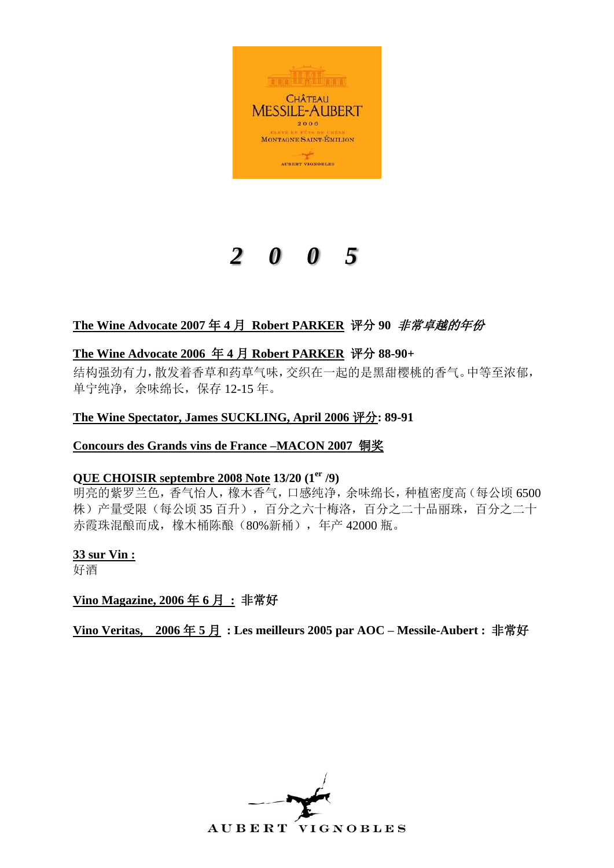

## **The Wine Advocate 2007** 年 **4** 月 **Robert PARKER** 评分 **90** 非常卓越的年份

## **The Wine Advocate 2006** 年 **4** 月 **Robert PARKER** 评分 **88-90+**

结构强劲有力,散发着香草和药草气味,交织在一起的是黑甜樱桃的香气。中等至浓郁, 单宁纯净,余味绵长,保存 12-15 年。

## **The Wine Spectator, James SUCKLING, April 2006** 评分**: 89-91**

### **Concours des Grands vins de France –MACON 2007** 铜奖

### **QUE CHOISIR septembre 2008 Note 13/20 (1er /9)**

明亮的紫罗兰色,香气怡人,橡木香气,口感纯净,余味绵长,种植密度高(每公顷 6500 株)产量受限(每公顷 35 百升),百分之六十梅洛,百分之二十品丽珠,百分之二十 赤霞珠混酿而成,橡木桶陈酿(80%新桶),年产 42000 瓶。

#### **33 sur Vin :**

好酒

### **Vino Magazine, 2006** 年 **6** 月 **:** 非常好

**Vino Veritas, 2006** 年 **5** 月 **: Les meilleurs 2005 par AOC – Messile-Aubert :** 非常好

AUBERT VIGNOBLES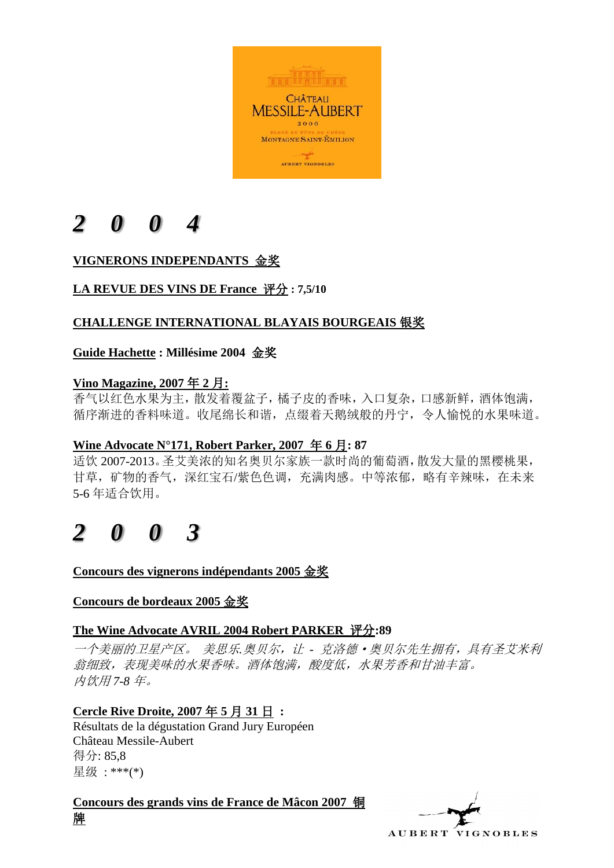

## **VIGNERONS INDEPENDANTS** 金奖

## **LA REVUE DES VINS DE France** 评分 **: 7,5/10**

## **CHALLENGE INTERNATIONAL BLAYAIS BOURGEAIS** 银奖

## **Guide Hachette : Millésime 2004** 金奖

## **Vino Magazine, 2007** 年 **2** 月**:**

香气以红色水果为主,散发着覆盆子,橘子皮的香味,入口复杂,口感新鲜,酒体饱满, 循序渐进的香料味道。收尾绵长和谐,点缀着天鹅绒般的丹宁,令人愉悦的水果味道。

## **Wine Advocate N°171, Robert Parker, 2007** 年 **6** 月**: 87**

适饮 2007-2013。圣艾美浓的知名奥贝尔家族一款时尚的葡萄酒,散发大量的黑樱桃果, 甘草,矿物的香气,深红宝石/紫色色调,充满肉感。中等浓郁,略有辛辣味,在未来 5-6 年适合饮用。

## *2 0 0 3*

**Concours des vignerons indépendants 2005** 金奖

### **Concours de bordeaux 2005** 金奖

### **The Wine Advocate AVRIL 2004 Robert PARKER** 评分**:89**

一个美丽的卫星产区。 美思乐*.*奥贝尔,让 *-* 克洛德·奥贝尔先生拥有,具有圣艾米利 翁细致,表现美味的水果香味。酒体饱满,酸度低,水果芳香和甘油丰富。 内饮用 *7-8* 年。

## **Cercle Rive Droite, 2007** 年 **5** 月 **31** 日 **:**

Résultats de la dégustation Grand Jury Européen Château Messile-Aubert 得分: 85,8 星级 : \*\*\*(\*)

**Concours des grands vins de France de Mâcon 2007** 铜 牌

AUBERT VIGNOBLES